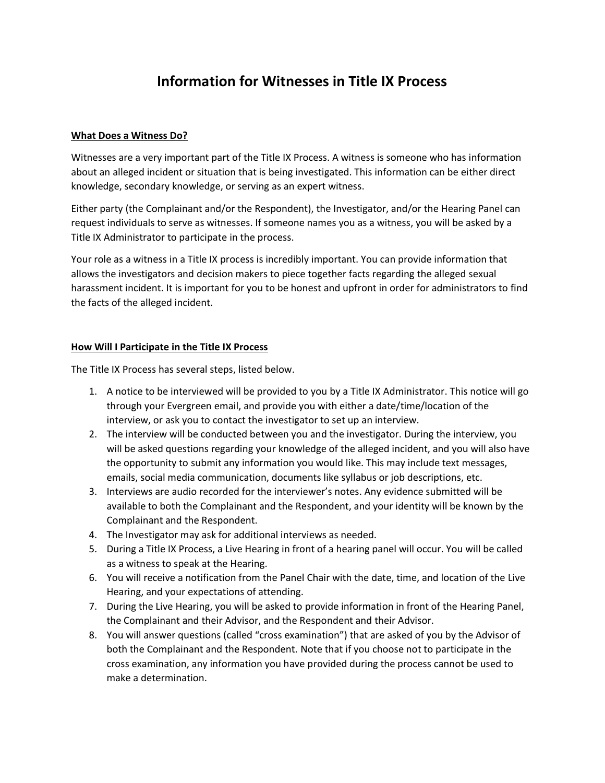# **Information for Witnesses in Title IX Process**

#### **What Does a Witness Do?**

Witnesses are a very important part of the Title IX Process. A witness is someone who has information about an alleged incident or situation that is being investigated. This information can be either direct knowledge, secondary knowledge, or serving as an expert witness.

Either party (the Complainant and/or the Respondent), the Investigator, and/or the Hearing Panel can request individuals to serve as witnesses. If someone names you as a witness, you will be asked by a Title IX Administrator to participate in the process.

Your role as a witness in a Title IX process is incredibly important. You can provide information that allows the investigators and decision makers to piece together facts regarding the alleged sexual harassment incident. It is important for you to be honest and upfront in order for administrators to find the facts of the alleged incident.

#### **How Will I Participate in the Title IX Process**

The Title IX Process has several steps, listed below.

- 1. A notice to be interviewed will be provided to you by a Title IX Administrator. This notice will go through your Evergreen email, and provide you with either a date/time/location of the interview, or ask you to contact the investigator to set up an interview.
- 2. The interview will be conducted between you and the investigator. During the interview, you will be asked questions regarding your knowledge of the alleged incident, and you will also have the opportunity to submit any information you would like. This may include text messages, emails, social media communication, documents like syllabus or job descriptions, etc.
- 3. Interviews are audio recorded for the interviewer's notes. Any evidence submitted will be available to both the Complainant and the Respondent, and your identity will be known by the Complainant and the Respondent.
- 4. The Investigator may ask for additional interviews as needed.
- 5. During a Title IX Process, a Live Hearing in front of a hearing panel will occur. You will be called as a witness to speak at the Hearing.
- 6. You will receive a notification from the Panel Chair with the date, time, and location of the Live Hearing, and your expectations of attending.
- 7. During the Live Hearing, you will be asked to provide information in front of the Hearing Panel, the Complainant and their Advisor, and the Respondent and their Advisor.
- 8. You will answer questions (called "cross examination") that are asked of you by the Advisor of both the Complainant and the Respondent. Note that if you choose not to participate in the cross examination, any information you have provided during the process cannot be used to make a determination.